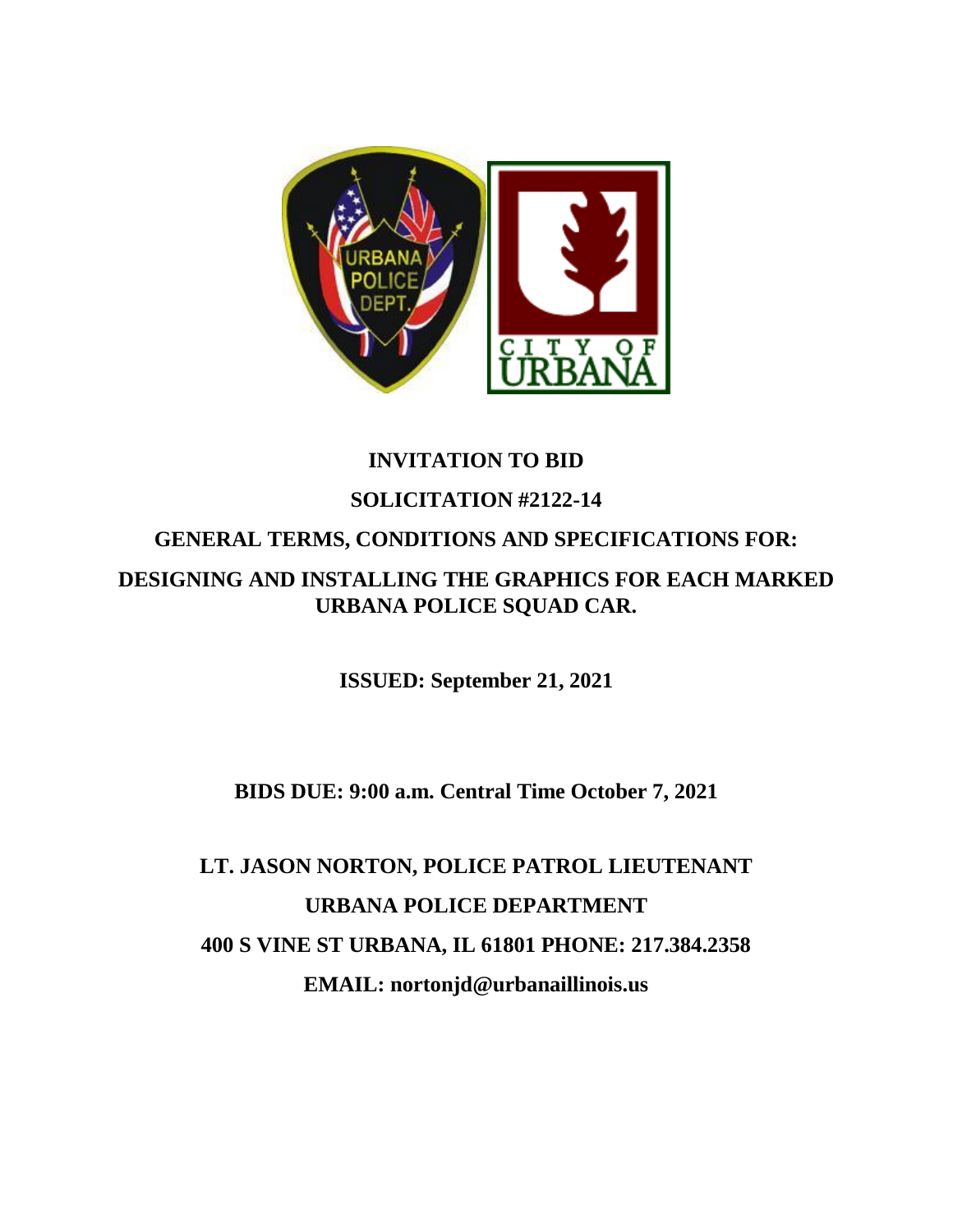

# **INVITATION TO BID SOLICITATION #2122-14 GENERAL TERMS, CONDITIONS AND SPECIFICATIONS FOR: DESIGNING AND INSTALLING THE GRAPHICS FOR EACH MARKED URBANA POLICE SQUAD CAR.**

**ISSUED: September 21, 2021**

**BIDS DUE: 9:00 a.m. Central Time October 7, 2021**

**LT. JASON NORTON, POLICE PATROL LIEUTENANT URBANA POLICE DEPARTMENT 400 S VINE ST URBANA, IL 61801 PHONE: 217.384.2358 EMAIL: nortonjd@urbanaillinois.us**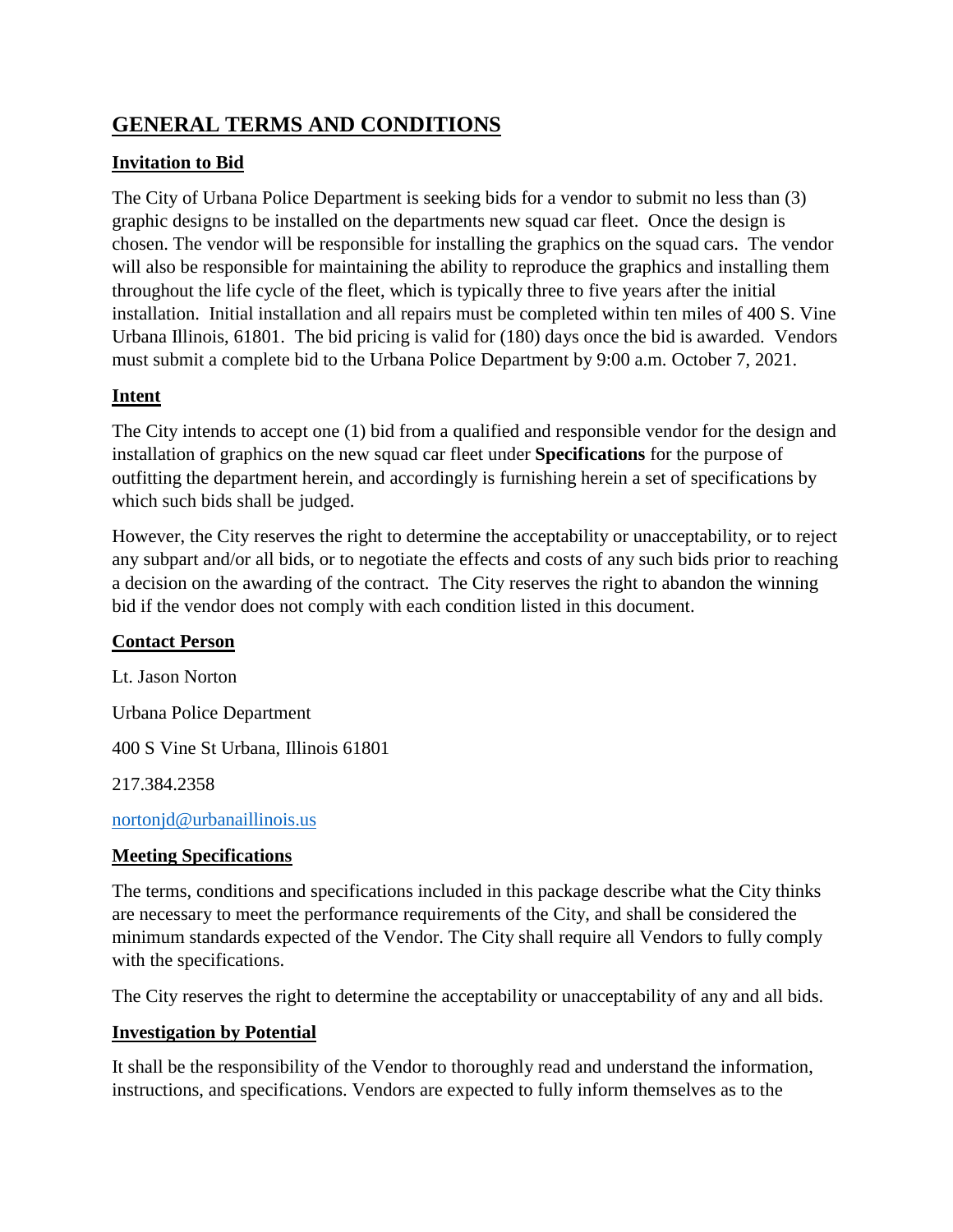## **GENERAL TERMS AND CONDITIONS**

## **Invitation to Bid**

The City of Urbana Police Department is seeking bids for a vendor to submit no less than (3) graphic designs to be installed on the departments new squad car fleet. Once the design is chosen. The vendor will be responsible for installing the graphics on the squad cars. The vendor will also be responsible for maintaining the ability to reproduce the graphics and installing them throughout the life cycle of the fleet, which is typically three to five years after the initial installation. Initial installation and all repairs must be completed within ten miles of 400 S. Vine Urbana Illinois, 61801. The bid pricing is valid for (180) days once the bid is awarded. Vendors must submit a complete bid to the Urbana Police Department by 9:00 a.m. October 7, 2021.

## **Intent**

The City intends to accept one (1) bid from a qualified and responsible vendor for the design and installation of graphics on the new squad car fleet under **Specifications** for the purpose of outfitting the department herein, and accordingly is furnishing herein a set of specifications by which such bids shall be judged.

However, the City reserves the right to determine the acceptability or unacceptability, or to reject any subpart and/or all bids, or to negotiate the effects and costs of any such bids prior to reaching a decision on the awarding of the contract. The City reserves the right to abandon the winning bid if the vendor does not comply with each condition listed in this document.

## **Contact Person**

Lt. Jason Norton Urbana Police Department 400 S Vine St Urbana, Illinois 61801 217.384.2358

[nortonjd@urbanaillinois.us](mailto:nortonjd@urbanaillinois.us)

## **Meeting Specifications**

The terms, conditions and specifications included in this package describe what the City thinks are necessary to meet the performance requirements of the City, and shall be considered the minimum standards expected of the Vendor. The City shall require all Vendors to fully comply with the specifications.

The City reserves the right to determine the acceptability or unacceptability of any and all bids.

## **Investigation by Potential**

It shall be the responsibility of the Vendor to thoroughly read and understand the information, instructions, and specifications. Vendors are expected to fully inform themselves as to the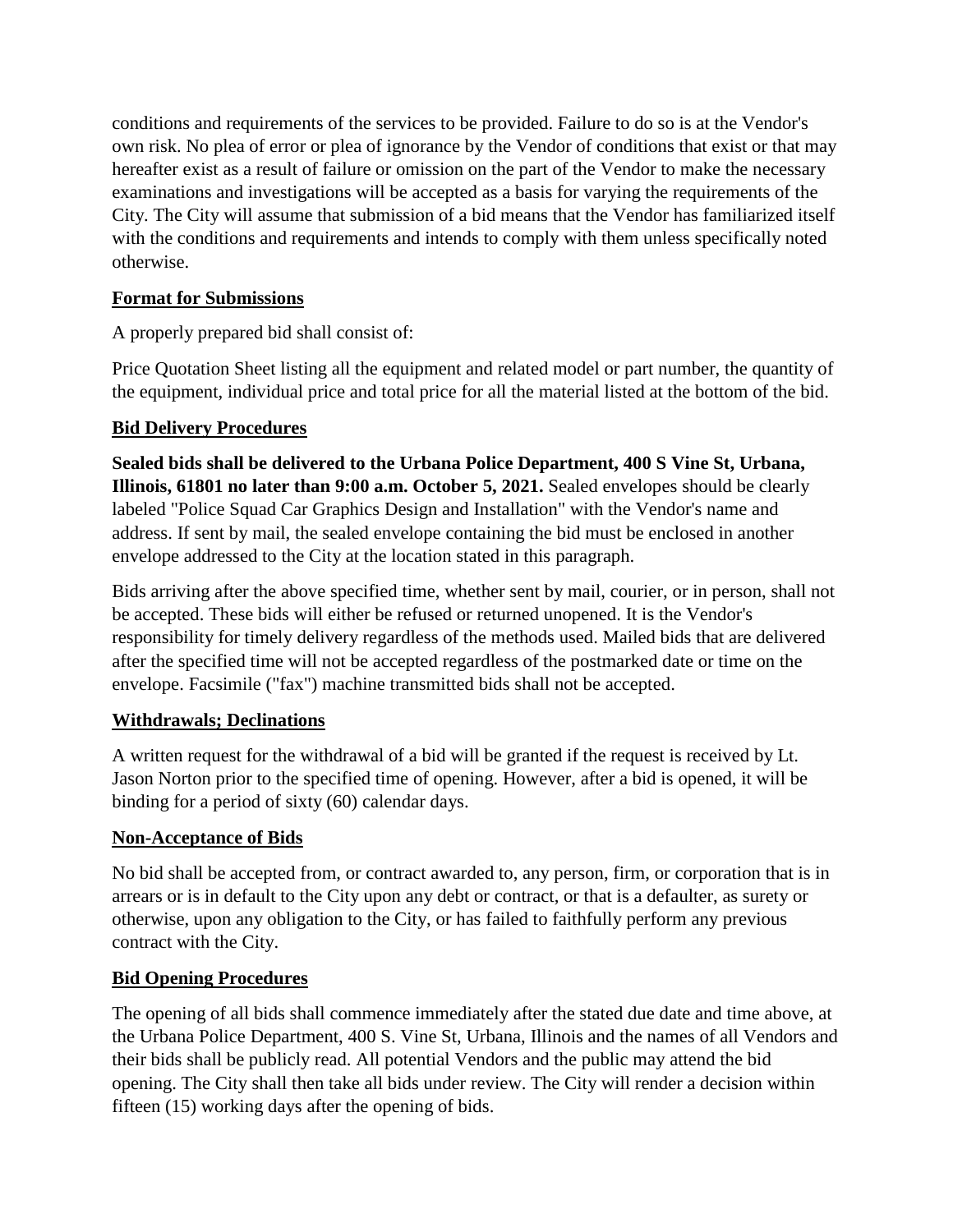conditions and requirements of the services to be provided. Failure to do so is at the Vendor's own risk. No plea of error or plea of ignorance by the Vendor of conditions that exist or that may hereafter exist as a result of failure or omission on the part of the Vendor to make the necessary examinations and investigations will be accepted as a basis for varying the requirements of the City. The City will assume that submission of a bid means that the Vendor has familiarized itself with the conditions and requirements and intends to comply with them unless specifically noted otherwise.

#### **Format for Submissions**

A properly prepared bid shall consist of:

Price Quotation Sheet listing all the equipment and related model or part number, the quantity of the equipment, individual price and total price for all the material listed at the bottom of the bid.

#### **Bid Delivery Procedures**

**Sealed bids shall be delivered to the Urbana Police Department, 400 S Vine St, Urbana, Illinois, 61801 no later than 9:00 a.m. October 5, 2021.** Sealed envelopes should be clearly labeled "Police Squad Car Graphics Design and Installation" with the Vendor's name and address. If sent by mail, the sealed envelope containing the bid must be enclosed in another envelope addressed to the City at the location stated in this paragraph.

Bids arriving after the above specified time, whether sent by mail, courier, or in person, shall not be accepted. These bids will either be refused or returned unopened. It is the Vendor's responsibility for timely delivery regardless of the methods used. Mailed bids that are delivered after the specified time will not be accepted regardless of the postmarked date or time on the envelope. Facsimile ("fax") machine transmitted bids shall not be accepted.

## **Withdrawals; Declinations**

A written request for the withdrawal of a bid will be granted if the request is received by Lt. Jason Norton prior to the specified time of opening. However, after a bid is opened, it will be binding for a period of sixty (60) calendar days.

#### **Non-Acceptance of Bids**

No bid shall be accepted from, or contract awarded to, any person, firm, or corporation that is in arrears or is in default to the City upon any debt or contract, or that is a defaulter, as surety or otherwise, upon any obligation to the City, or has failed to faithfully perform any previous contract with the City.

#### **Bid Opening Procedures**

The opening of all bids shall commence immediately after the stated due date and time above, at the Urbana Police Department, 400 S. Vine St, Urbana, Illinois and the names of all Vendors and their bids shall be publicly read. All potential Vendors and the public may attend the bid opening. The City shall then take all bids under review. The City will render a decision within fifteen (15) working days after the opening of bids.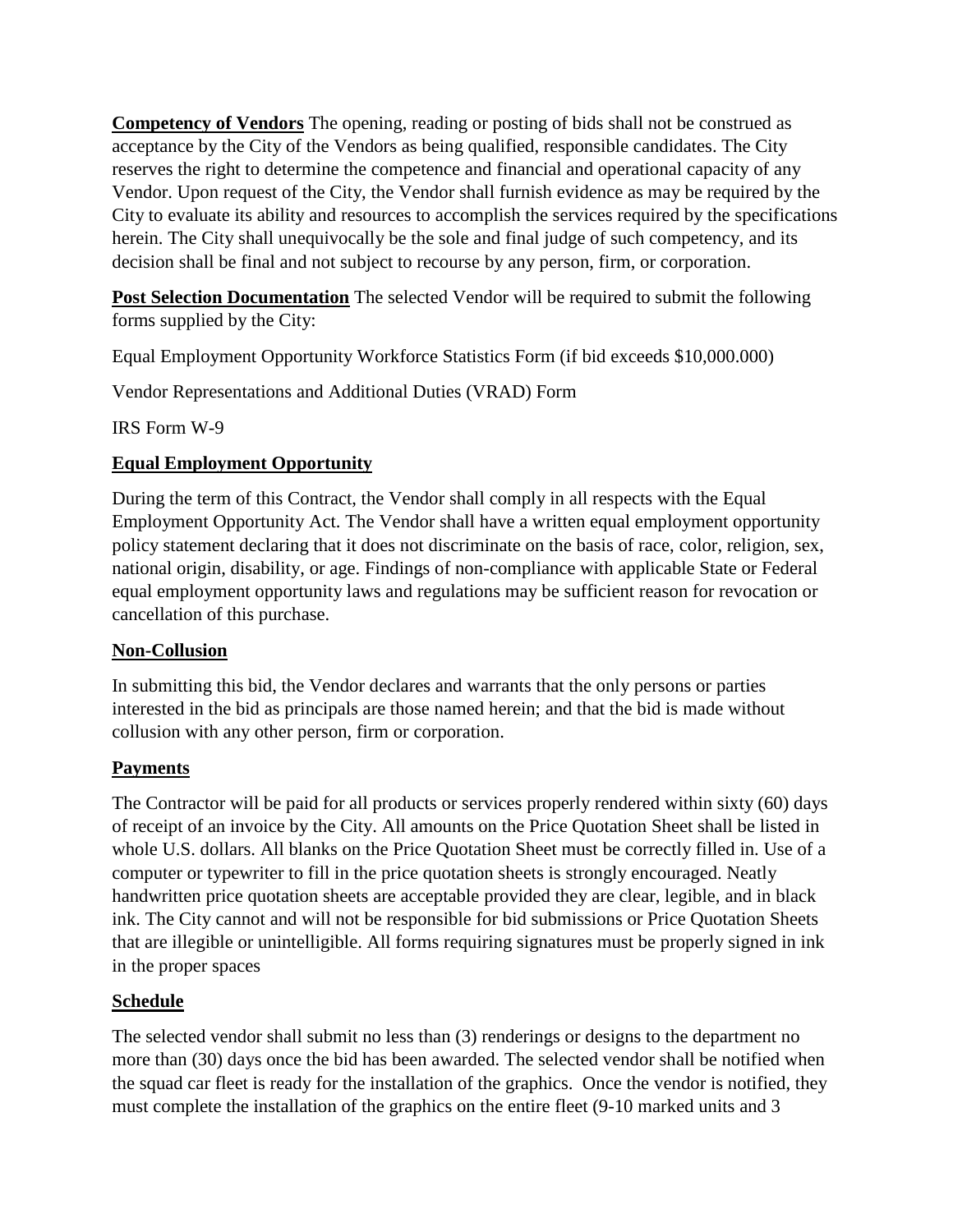**Competency of Vendors** The opening, reading or posting of bids shall not be construed as acceptance by the City of the Vendors as being qualified, responsible candidates. The City reserves the right to determine the competence and financial and operational capacity of any Vendor. Upon request of the City, the Vendor shall furnish evidence as may be required by the City to evaluate its ability and resources to accomplish the services required by the specifications herein. The City shall unequivocally be the sole and final judge of such competency, and its decision shall be final and not subject to recourse by any person, firm, or corporation.

**Post Selection Documentation** The selected Vendor will be required to submit the following forms supplied by the City:

Equal Employment Opportunity Workforce Statistics Form (if bid exceeds \$10,000.000)

Vendor Representations and Additional Duties (VRAD) Form

IRS Form W-9

## **Equal Employment Opportunity**

During the term of this Contract, the Vendor shall comply in all respects with the Equal Employment Opportunity Act. The Vendor shall have a written equal employment opportunity policy statement declaring that it does not discriminate on the basis of race, color, religion, sex, national origin, disability, or age. Findings of non-compliance with applicable State or Federal equal employment opportunity laws and regulations may be sufficient reason for revocation or cancellation of this purchase.

## **Non-Collusion**

In submitting this bid, the Vendor declares and warrants that the only persons or parties interested in the bid as principals are those named herein; and that the bid is made without collusion with any other person, firm or corporation.

## **Payments**

The Contractor will be paid for all products or services properly rendered within sixty (60) days of receipt of an invoice by the City. All amounts on the Price Quotation Sheet shall be listed in whole U.S. dollars. All blanks on the Price Quotation Sheet must be correctly filled in. Use of a computer or typewriter to fill in the price quotation sheets is strongly encouraged. Neatly handwritten price quotation sheets are acceptable provided they are clear, legible, and in black ink. The City cannot and will not be responsible for bid submissions or Price Quotation Sheets that are illegible or unintelligible. All forms requiring signatures must be properly signed in ink in the proper spaces

## **Schedule**

The selected vendor shall submit no less than (3) renderings or designs to the department no more than (30) days once the bid has been awarded. The selected vendor shall be notified when the squad car fleet is ready for the installation of the graphics. Once the vendor is notified, they must complete the installation of the graphics on the entire fleet (9-10 marked units and 3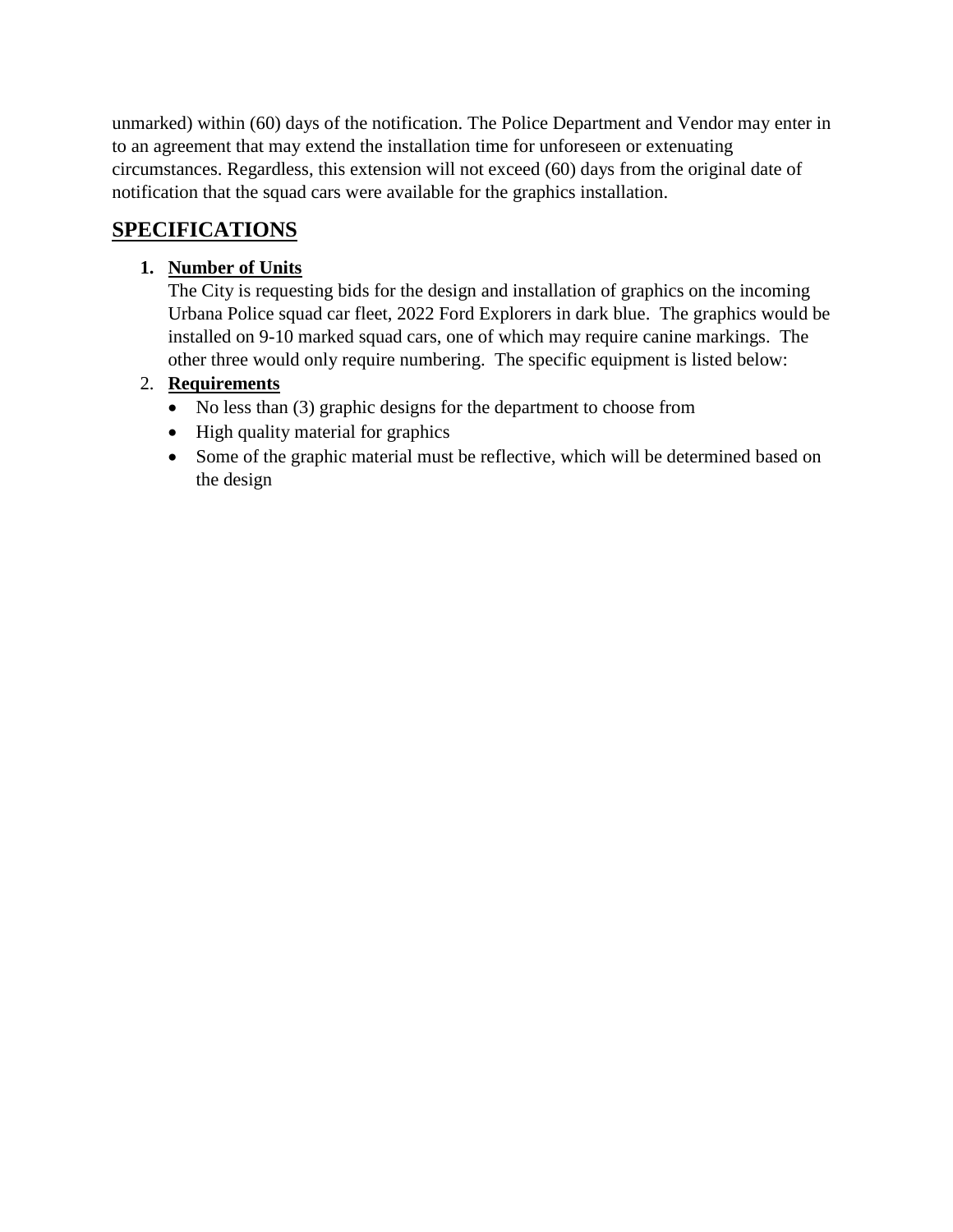unmarked) within (60) days of the notification. The Police Department and Vendor may enter in to an agreement that may extend the installation time for unforeseen or extenuating circumstances. Regardless, this extension will not exceed (60) days from the original date of notification that the squad cars were available for the graphics installation.

## **SPECIFICATIONS**

## **1. Number of Units**

The City is requesting bids for the design and installation of graphics on the incoming Urbana Police squad car fleet, 2022 Ford Explorers in dark blue. The graphics would be installed on 9-10 marked squad cars, one of which may require canine markings. The other three would only require numbering. The specific equipment is listed below:

## 2. **Requirements**

- No less than (3) graphic designs for the department to choose from
- High quality material for graphics
- Some of the graphic material must be reflective, which will be determined based on the design